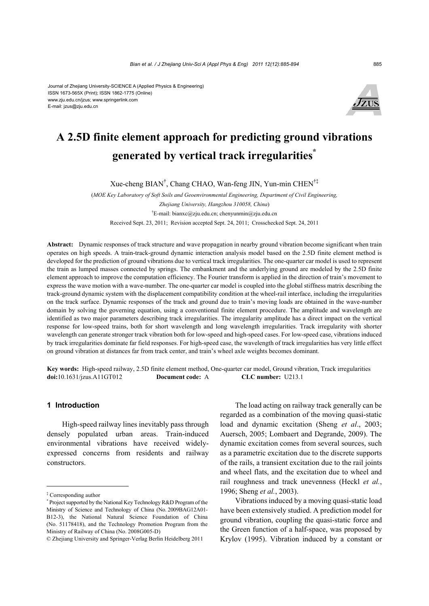#### Journal of Zhejiang University-SCIENCE A (Applied Physics & Engineering) ISSN 1673-565X (Print); ISSN 1862-1775 (Online) www.zju.edu.cn/jzus; www.springerlink.com E-mail: jzus@zju.edu.cn



# **A 2.5D finite element approach for predicting ground vibrations generated by vertical track irregularities\***

Xue-cheng BIAN† , Chang CHAO, Wan-feng JIN, Yun-min CHEN†‡

(*MOE Key Laboratory of Soft Soils and Geoenvironmental Engineering, Department of Civil Engineering, Zhejiang University, Hangzhou 310058, China*) † E-mail: bianxc@zju.edu.cn; chenyunmin@zju.edu.cn Received Sept. 23, 2011; Revision accepted Sept. 24, 2011; Crosschecked Sept. 24, 2011

**Abstract:** Dynamic responses of track structure and wave propagation in nearby ground vibration become significant when train operates on high speeds. A train-track-ground dynamic interaction analysis model based on the 2.5D finite element method is developed for the prediction of ground vibrations due to vertical track irregularities. The one-quarter car model is used to represent the train as lumped masses connected by springs. The embankment and the underlying ground are modeled by the 2.5D finite element approach to improve the computation efficiency. The Fourier transform is applied in the direction of train's movement to express the wave motion with a wave-number. The one-quarter car model is coupled into the global stiffness matrix describing the track-ground dynamic system with the displacement compatibility condition at the wheel-rail interface, including the irregularities on the track surface. Dynamic responses of the track and ground due to train's moving loads are obtained in the wave-number domain by solving the governing equation, using a conventional finite element procedure. The amplitude and wavelength are identified as two major parameters describing track irregularities. The irregularity amplitude has a direct impact on the vertical response for low-speed trains, both for short wavelength and long wavelength irregularities. Track irregularity with shorter wavelength can generate stronger track vibration both for low-speed and high-speed cases. For low-speed case, vibrations induced by track irregularities dominate far field responses. For high-speed case, the wavelength of track irregularities has very little effect on ground vibration at distances far from track center, and train's wheel axle weights becomes dominant.

**Key words:** High-speed railway, 2.5D finite element method, One-quarter car model, Ground vibration, Track irregularities **doi:**10.1631/jzus.A11GT012 **Document code:** A **CLC number:** U213.1

## **1 Introduction**

High-speed railway lines inevitably pass through densely populated urban areas. Train-induced environmental vibrations have received widelyexpressed concerns from residents and railway constructors.

The load acting on railway track generally can be regarded as a combination of the moving quasi-static load and dynamic excitation (Sheng *et al*., 2003; Auersch, 2005; Lombaert and Degrande, 2009). The dynamic excitation comes from several sources, such as a parametric excitation due to the discrete supports of the rails, a transient excitation due to the rail joints and wheel flats, and the excitation due to wheel and rail roughness and track unevenness (Heckl *et al.*, 1996; Sheng *et al.*, 2003).

Vibrations induced by a moving quasi-static load have been extensively studied. A prediction model for ground vibration, coupling the quasi-static force and the Green function of a half-space, was proposed by Krylov (1995). Vibration induced by a constant or

<sup>‡</sup> Corresponding author

<sup>\*</sup> Project supported by the National Key Technology R&D Program of the Ministry of Science and Technology of China (No. 2009BAG12A01- B12-3), the National Natural Science Foundation of China (No. 51178418), and the Technology Promotion Program from the Ministry of Railway of China (No. 2008G005-D)

<sup>©</sup> Zhejiang University and Springer-Verlag Berlin Heidelberg 2011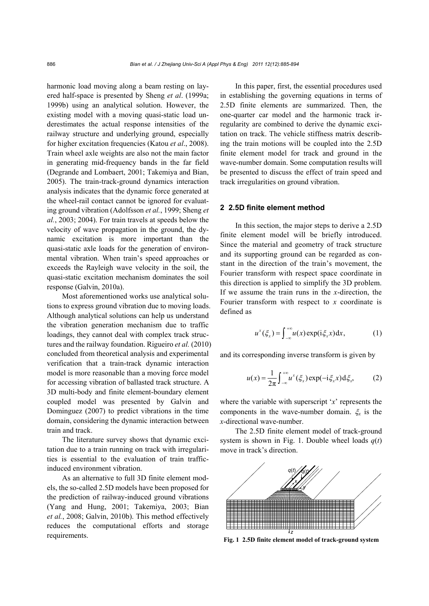harmonic load moving along a beam resting on layered half-space is presented by Sheng *et al*. (1999a; 1999b) using an analytical solution. However, the existing model with a moving quasi-static load underestimates the actual response intensities of the railway structure and underlying ground, especially for higher excitation frequencies (Katou *et al*., 2008). Train wheel axle weights are also not the main factor in generating mid-frequency bands in the far field (Degrande and Lombaert, 2001; Takemiya and Bian, 2005). The train-track-ground dynamics interaction analysis indicates that the dynamic force generated at the wheel-rail contact cannot be ignored for evaluating ground vibration (Adolfsson *et al.*, 1999; Sheng *et al.*, 2003; 2004). For train travels at speeds below the velocity of wave propagation in the ground, the dynamic excitation is more important than the quasi-static axle loads for the generation of environmental vibration. When train's speed approaches or exceeds the Rayleigh wave velocity in the soil, the quasi-static excitation mechanism dominates the soil response (Galvin, 2010a).

Most aforementioned works use analytical solutions to express ground vibration due to moving loads. Although analytical solutions can help us understand the vibration generation mechanism due to traffic loadings, they cannot deal with complex track structures and the railway foundation. Rigueiro *et al.* (2010) concluded from theoretical analysis and experimental verification that a train-track dynamic interaction model is more reasonable than a moving force model for accessing vibration of ballasted track structure. A 3D multi-body and finite element-boundary element coupled model was presented by Galvin and Dominguez (2007) to predict vibrations in the time domain, considering the dynamic interaction between train and track.

The literature survey shows that dynamic excitation due to a train running on track with irregularities is essential to the evaluation of train trafficinduced environment vibration.

As an alternative to full 3D finite element models, the so-called 2.5D models have been proposed for the prediction of railway-induced ground vibrations (Yang and Hung, 2001; Takemiya, 2003; Bian *et al.*, 2008; Galvin, 2010b). This method effectively reduces the computational efforts and storage requirements.

In this paper, first, the essential procedures used in establishing the governing equations in terms of 2.5D finite elements are summarized. Then, the one-quarter car model and the harmonic track irregularity are combined to derive the dynamic excitation on track. The vehicle stiffness matrix describing the train motions will be coupled into the 2.5D finite element model for track and ground in the wave-number domain. Some computation results will be presented to discuss the effect of train speed and track irregularities on ground vibration.

### **2 2.5D finite element method**

In this section, the major steps to derive a 2.5D finite element model will be briefly introduced. Since the material and geometry of track structure and its supporting ground can be regarded as constant in the direction of the train's movement, the Fourier transform with respect space coordinate in this direction is applied to simplify the 3D problem. If we assume the train runs in the *x*-direction, the Fourier transform with respect to *x* coordinate is defined as

$$
u^x(\xi_x) = \int_{-\infty}^{+\infty} u(x) \exp(i\xi_x x) dx, \qquad (1)
$$

and its corresponding inverse transform is given by

$$
u(x) = \frac{1}{2\pi} \int_{-\infty}^{+\infty} u^x(\xi_x) \exp(-i\xi_x x) d\xi_x,
$$
 (2)

where the variable with superscript '*x*' represents the components in the wave-number domain.  $\xi_x$  is the *x*-directional wave-number.

The 2.5D finite element model of track-ground system is shown in Fig. 1. Double wheel loads  $q(t)$ move in track's direction.



**Fig. 1 2.5D finite element model of track-ground system**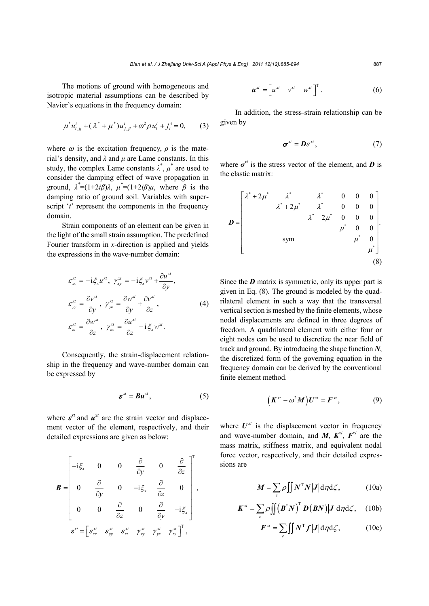The motions of ground with homogeneous and isotropic material assumptions can be described by Navier's equations in the frequency domain:

$$
\mu^* u_{i,j}^t + (\lambda^* + \mu^*) u_{j,j}^t + \omega^2 \rho u_i^t + f_i^t = 0,
$$
 (3)

where  $\omega$  is the excitation frequency,  $\rho$  is the material's density, and *λ* and *μ* are Lame constants. In this study, the complex Lame constants  $\lambda^*$ ,  $\mu^*$  are used to consider the damping effect of wave propagation in ground,  $\lambda^* = (1+2i\beta)\lambda$ ,  $\mu^* = (1+2i\beta)\mu$ , where  $\beta$  is the damping ratio of ground soil. Variables with superscript '*t*' represent the components in the frequency domain.

Strain components of an element can be given in the light of the small strain assumption. The predefined Fourier transform in *x*-direction is applied and yields the expressions in the wave-number domain:

$$
\varepsilon_{xx}^{xt} = -i\xi_x u^{xt}, \ \gamma_{xy}^{xt} = -i\xi_x v^{xt} + \frac{\partial u^{xt}}{\partial y},
$$
  
\n
$$
\varepsilon_{yy}^{xt} = \frac{\partial v^{xt}}{\partial y}, \ \gamma_{yz}^{xt} = \frac{\partial w^{xt}}{\partial y} + \frac{\partial v^{xt}}{\partial z},
$$
  
\n
$$
\varepsilon_{zz}^{xt} = \frac{\partial w^{xt}}{\partial z}, \ \gamma_{zx}^{xt} = \frac{\partial u^{xt}}{\partial z} - i\xi_x w^{xt}.
$$
  
\n(4)

Consequently, the strain-displacement relationship in the frequency and wave-number domain can be expressed by

$$
\boldsymbol{\varepsilon}^{xt} = \boldsymbol{B}\boldsymbol{u}^{xt},\tag{5}
$$

where  $\varepsilon^{xt}$  and  $u^{xt}$  are the strain vector and displacement vector of the element, respectively, and their detailed expressions are given as below:

$$
\mathbf{B} = \begin{bmatrix} -\mathrm{i}\xi_x & 0 & 0 & \frac{\partial}{\partial y} & 0 & \frac{\partial}{\partial z} \\ 0 & \frac{\partial}{\partial y} & 0 & -\mathrm{i}\xi_x & \frac{\partial}{\partial z} & 0 \\ 0 & 0 & \frac{\partial}{\partial z} & 0 & \frac{\partial}{\partial y} & -\mathrm{i}\xi_x \end{bmatrix}^T,
$$

$$
\boldsymbol{\varepsilon}^{x} = \begin{bmatrix} \varepsilon_{xx}^{x} & \varepsilon_{yy}^{x} & \varepsilon_{zz}^{x} & \gamma_{xy}^{x} & \gamma_{yz}^{x} & \gamma_{zx}^{x} \end{bmatrix}^T,
$$

$$
\boldsymbol{u}^{xt} = \begin{bmatrix} u^{xt} & v^{xt} & w^{xt} \end{bmatrix}^T.
$$
 (6)

In addition, the stress-strain relationship can be given by

$$
\boldsymbol{\sigma}^{\mathit{xt}} = \boldsymbol{D}\boldsymbol{\varepsilon}^{\mathit{xt}},\tag{7}
$$

where  $\sigma^{xt}$  is the stress vector of the element, and *D* is the elastic matrix:

$$
D = \begin{bmatrix} \lambda^* + 2\mu^* & \lambda^* & \lambda^* & 0 & 0 & 0 \\ & \lambda^* + 2\mu^* & \lambda^* & 0 & 0 & 0 \\ & & \lambda^* + 2\mu^* & 0 & 0 & 0 \\ & & & \mu^* & 0 & 0 \\ & & \text{sym} & & \mu^* & 0 \\ & & & & \mu^* & 0 \\ & & & & & \mu^* \end{bmatrix}
$$
 (8)

Since the *D* matrix is symmetric, only its upper part is given in Eq. (8). The ground is modeled by the quadrilateral element in such a way that the transversal vertical section is meshed by the finite elements, whose nodal displacements are defined in three degrees of freedom. A quadrilateral element with either four or eight nodes can be used to discretize the near field of track and ground. By introducing the shape function *N*, the discretized form of the governing equation in the frequency domain can be derived by the conventional finite element method.

$$
\left(\boldsymbol{K}^{xt}-\boldsymbol{\omega}^2\boldsymbol{M}\right)\boldsymbol{U}^{xt}=\boldsymbol{F}^{xt},\qquad\qquad(9)
$$

where  $U^{xt}$  is the displacement vector in frequency and wave-number domain, and *M*,  $K^{xt}$ ,  $F^{xt}$  are the mass matrix, stiffness matrix, and equivalent nodal force vector, respectively, and their detailed expressions are

$$
\mathbf{M} = \sum_{e} \rho \iint N^{\mathrm{T}} N |\mathbf{J}| \mathrm{d}\eta \mathrm{d}\zeta, \qquad (10a)
$$

$$
\boldsymbol{K}^{xt} = \sum_{e} \rho \iint (\boldsymbol{B}^* \boldsymbol{N})^{\mathrm{T}} \boldsymbol{D} (\boldsymbol{B} \boldsymbol{N}) |\boldsymbol{J}| \mathrm{d} \eta \mathrm{d} \zeta, \quad (10b)
$$

$$
\boldsymbol{F}^{\mathit{xt}} = \sum_{e} \iint \boldsymbol{N}^{\mathrm{T}} \boldsymbol{f} \, |\boldsymbol{J}| \, \mathrm{d}\eta \, \mathrm{d}\zeta, \tag{10c}
$$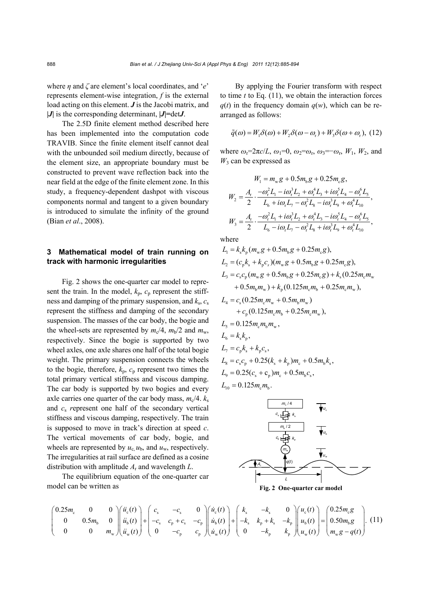where *η* and *ζ* are element's local coordinates, and '*e*' represents element-wise integration, *f* is the external load acting on this element. *J* is the Jacobi matrix, and **|***J***|** is the corresponding determinant, **|***J***|=**det*J*.

The 2.5D finite element method described here has been implemented into the computation code TRAVIB. Since the finite element itself cannot deal with the unbounded soil medium directly, because of the element size, an appropriate boundary must be constructed to prevent wave reflection back into the near field at the edge of the finite element zone. In this study, a frequency-dependent dashpot with viscous components normal and tangent to a given boundary is introduced to simulate the infinity of the ground (Bian *et al*., 2008).

## **3 Mathematical model of train running on track with harmonic irregularities**

Fig. 2 shows the one-quarter car model to represent the train. In the model,  $k_p$ ,  $c_p$  represent the stiffness and damping of the primary suspension, and *k*s, *c*<sup>s</sup> represent the stiffness and damping of the secondary suspension. The masses of the car body, the bogie and the wheel-sets are represented by  $m_c/4$ ,  $m_b/2$  and  $m_w$ , respectively. Since the bogie is supported by two wheel axles, one axle shares one half of the total bogie weight. The primary suspension connects the wheels to the bogie, therefore,  $k_p$ ,  $c_p$  represent two times the total primary vertical stiffness and viscous damping. The car body is supported by two bogies and every axle carries one quarter of the car body mass,  $m_c/4$ .  $k_s$ and *c*s *r*epresent one half of the secondary vertical stiffness and viscous damping, respectively. The train is supposed to move in track's direction at speed *c*. The vertical movements of car body, bogie, and wheels are represented by  $u_c$ ,  $u_b$ , and  $u_w$ , respectively. The irregularities at rail surface are defined as a cosine distribution with amplitude *A*r and wavelength *L*.

The equilibrium equation of the one-quarter car model can be written as

By applying the Fourier transform with respect to time *t* to Eq. (11), we obtain the interaction forces  $q(t)$  in the frequency domain  $q(w)$ , which can be rearranged as follows:

$$
\tilde{q}(\omega) = W_1 \delta(\omega) + W_2 \delta(\omega - \omega_r) + W_3 \delta(\omega + \omega_r), \tag{12}
$$

where  $ω_1 = 2πc/L$ ,  $ω_1 = 0$ ,  $ω_2 = ω_1$ ,  $ω_3 = -ω_1$ ,  $W_1$ ,  $W_2$ , and  $W_3$  can be expressed as

$$
W_1 = m_w g + 0.5 m_b g + 0.25 m_c g,
$$
  
\n
$$
W_2 = \frac{A_r}{2} \cdot \frac{-\omega_r^2 L_1 - i \omega_r^3 L_2 + \omega_r^4 L_3 + i \omega_r^5 L_4 - \omega_r^6 L_5}{L_6 + i \omega_r L_7 - \omega_r^2 L_8 - i \omega_r^3 L_9 + \omega_r^4 L_{10}},
$$
  
\n
$$
W_3 = \frac{A_r}{2} \cdot \frac{-\omega_r^2 L_1 + i \omega_r^3 L_2 + \omega_r^4 L_3 - i \omega_r^5 L_4 - \omega_r^6 L_5}{L_6 - i \omega_r L_7 - \omega_r^2 L_8 + i \omega_r^3 L_9 + \omega_r^4 L_{10}},
$$

where

$$
L_{1} = k_{s}k_{p}(m_{w}g + 0.5m_{b}g + 0.25m_{c}g),
$$
  
\n
$$
L_{2} = (c_{p}k_{s} + k_{p}c_{s})(m_{w}g + 0.5m_{b}g + 0.25m_{c}g),
$$
  
\n
$$
L_{3} = c_{s}c_{p}(m_{w}g + 0.5m_{b}g + 0.25m_{c}g) + k_{s}(0.25m_{c}m_{w} + 0.5m_{b}m_{w}) + k_{p}(0.125m_{c}m_{b} + 0.25m_{c}m_{w}),
$$
  
\n
$$
L_{4} = c_{s}(0.25m_{c}m_{w} + 0.5m_{b}m_{w}) + c_{p}(0.125m_{c}m_{b} + 0.25m_{c}m_{w}),
$$
  
\n
$$
L_{5} = 0.125m_{c}m_{b}m_{w},
$$
  
\n
$$
L_{6} = k_{s}k_{p},
$$
  
\n
$$
L_{7} = c_{p}k_{s} + k_{p}c_{s},
$$
  
\n
$$
L_{8} = c_{s}c_{p} + 0.25(k_{s} + k_{p})m_{c} + 0.5m_{b}k_{s},
$$
  
\n
$$
L_{9} = 0.25(c_{s} + c_{p})m_{c} + 0.5m_{b}c_{s},
$$
  
\n
$$
L_{10} = 0.125m_{c}m_{b}.
$$



**Fig. 2 One-quarter car model**

$$
\begin{pmatrix}\n0.25m_c & 0 & 0 \\
0 & 0.5m_b & 0 \\
0 & 0 & m_w\n\end{pmatrix}\n\begin{pmatrix}\n\ddot{u}_c(t) \\
\ddot{u}_b(t) \\
\ddot{u}_w(t)\n\end{pmatrix} +\n\begin{pmatrix}\nc_s & -c_s & 0 \\
-c_s & c_p + c_s & -c_p \\
0 & -c_p & c_p\n\end{pmatrix}\n\begin{pmatrix}\n\dot{u}_c(t) \\
\dot{u}_b(t) \\
\dot{u}_w(t)\n\end{pmatrix} +\n\begin{pmatrix}\nk_s & -k_s & 0 \\
-k_s & k_p + k_s & -k_p \\
0 & -k_p & k_p\n\end{pmatrix}\n\begin{pmatrix}\nu_c(t) \\
u_b(t) \\
u_w(t)\n\end{pmatrix} =\n\begin{pmatrix}\n0.25m_c g \\
0.50m_b g \\
m_w g - q(t)\n\end{pmatrix}.
$$
\n(11)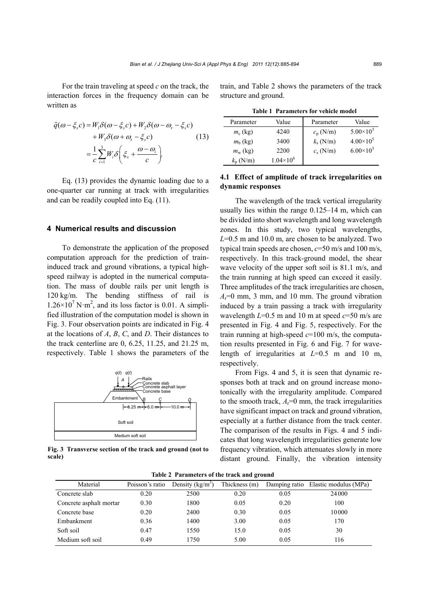For the train traveling at speed *c* on the track, the interaction forces in the frequency domain can be written as

$$
\tilde{q}(\omega - \xi_x c) = W_1 \delta(\omega - \xi_x c) + W_2 \delta(\omega - \omega_r - \xi_x c)
$$
  
+ 
$$
W_3 \delta(\omega + \omega_r - \xi_x c)
$$
 (13)  

$$
= \frac{1}{c} \sum_{i=1}^3 W_i \delta\left(\xi_x + \frac{\omega - \omega_i}{c}\right).
$$

Eq. (13) provides the dynamic loading due to a one-quarter car running at track with irregularities and can be readily coupled into Eq. (11).

#### **4 Numerical results and discussion**

To demonstrate the application of the proposed computation approach for the prediction of traininduced track and ground vibrations, a typical highspeed railway is adopted in the numerical computation. The mass of double rails per unit length is 120 kg/m. The bending stiffness of rail is  $1.26 \times 10^7$  N·m<sup>2</sup>, and its loss factor is 0.01. A simplified illustration of the computation model is shown in Fig. 3. Four observation points are indicated in Fig. 4 at the locations of *A*, *B*, *C*, and *D*. Their distances to the track centerline are 0, 6.25, 11.25, and 21.25 m, respectively. Table 1 shows the parameters of the



**Fig. 3 Transverse section of the track and ground (not to scale)**

train, and Table 2 shows the parameters of the track structure and ground.

| <b>Table 1 Parameters for vehicle model</b> |                      |                   |                    |  |  |  |  |  |
|---------------------------------------------|----------------------|-------------------|--------------------|--|--|--|--|--|
| Parameter                                   | Value                | Parameter         | Value              |  |  |  |  |  |
| $m_c$ (kg)                                  | 4240                 | $c_p$ (N/m)       | $5.00\times10^{3}$ |  |  |  |  |  |
| $m_h$ (kg)                                  | 3400                 | $k_{\rm s}$ (N/m) | $4.00\times10^{5}$ |  |  |  |  |  |
| $m_{\rm w}$ (kg)                            | 2200                 | $c_s$ (N/m)       | $6.00\times10^{3}$ |  |  |  |  |  |
| $k_{\rm p}$ (N/m)                           | $1.04 \times 10^{6}$ |                   |                    |  |  |  |  |  |

## **4.1 Effect of amplitude of track irregularities on dynamic responses**

The wavelength of the track vertical irregularity usually lies within the range 0.125–14 m, which can be divided into short wavelength and long wavelength zones. In this study, two typical wavelengths, *L*=0.5 m and 10.0 m, are chosen to be analyzed. Two typical train speeds are chosen, *c*=50 m/s and 100 m/s, respectively. In this track-ground model, the shear wave velocity of the upper soft soil is 81.1 m/s, and the train running at high speed can exceed it easily. Three amplitudes of the track irregularities are chosen,  $A_r = 0$  mm, 3 mm, and 10 mm. The ground vibration induced by a train passing a track with irregularity wavelength *L*=0.5 m and 10 m at speed *c*=50 m/s are presented in Fig. 4 and Fig. 5, respectively. For the train running at high-speed  $c=100$  m/s, the computation results presented in Fig. 6 and Fig. 7 for wavelength of irregularities at *L*=0.5 m and 10 m, respectively.

From Figs. 4 and 5, it is seen that dynamic responses both at track and on ground increase monotonically with the irregularity amplitude. Compared to the smooth track,  $A_r=0$  mm, the track irregularities have significant impact on track and ground vibration, especially at a further distance from the track center. The comparison of the results in Figs. 4 and 5 indicates that long wavelength irregularities generate low frequency vibration, which attenuates slowly in more distant ground. Finally, the vibration intensity

| Poisson's ratio | Density $(kg/m^3)$ | Thickness (m) |      | Damping ratio Elastic modulus (MPa) |
|-----------------|--------------------|---------------|------|-------------------------------------|
| 0.20            | 2500               | 0.20          | 0.05 | 24000                               |
| 0.30            | 1800               | 0.05          | 0.20 | 100                                 |
| 0.20            | 2400               | 0.30          | 0.05 | 10000                               |
| 0.36            | 1400               | 3.00          | 0.05 | 170                                 |
| 0.47            | 1550               | 15.0          | 0.05 | 30                                  |
| 0.49            | 1750               | 5.00          | 0.05 | 116                                 |
|                 |                    |               |      |                                     |

**Table 2 Parameters of the track and ground**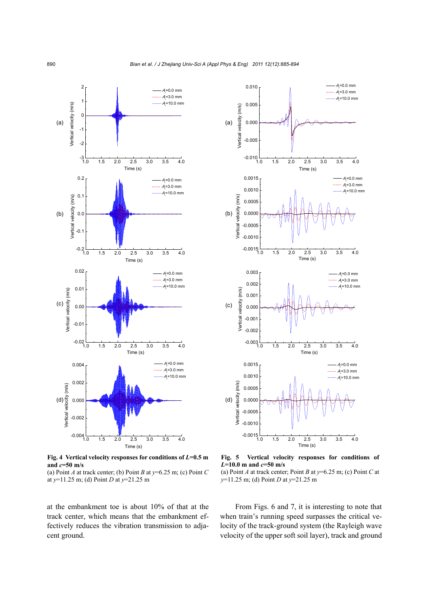

**Fig. 4 Vertical velocity responses for conditions of** *L***=0.5 m and** *c***=50 m/s** 

(a) Point *A* at track center; (b) Point *B* at  $y=6.25$  m; (c) Point *C* at *y*=11.25 m; (d) Point *D* at *y*=21.25 m

at the embankment toe is about 10% of that at the track center, which means that the embankment effectively reduces the vibration transmission to adjacent ground.



**Fig. 5 Vertical velocity responses for conditions of**   $L=10.0$  m and  $c=50$  m/s

(a) Point *A* at track center; Point *B* at *y*=6.25 m; (c) Point *C* at *y*=11.25 m; (d) Point *D* at *y*=21.25 m

From Figs. 6 and 7, it is interesting to note that when train's running speed surpasses the critical velocity of the track-ground system (the Rayleigh wave velocity of the upper soft soil layer), track and ground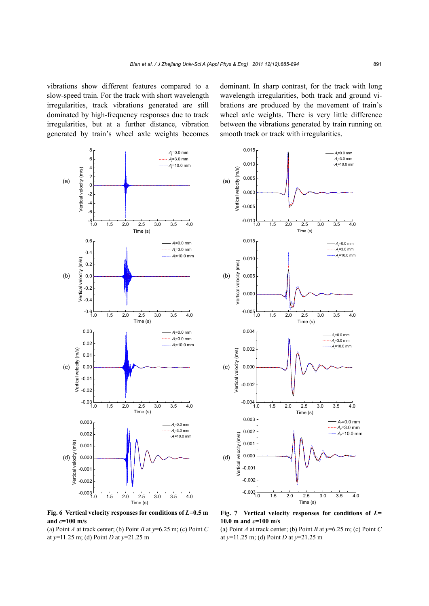vibrations show different features compared to a slow-speed train. For the track with short wavelength irregularities, track vibrations generated are still dominated by high-frequency responses due to track irregularities, but at a further distance, vibration generated by train's wheel axle weights becomes dominant. In sharp contrast, for the track with long wavelength irregularities, both track and ground vibrations are produced by the movement of train's wheel axle weights. There is very little difference between the vibrations generated by train running on smooth track or track with irregularities.





**Fig. 6 Vertical velocity responses for conditions of** *L***=0.5 m and** *c***=100 m/s** 

(a) Point *A* at track center; (b) Point *B* at *y*=6.25 m; (c) Point *C*  at *y*=11.25 m; (d) Point *D* at *y*=21.25 m

**Fig. 7 Vertical velocity responses for conditions of** *L***= 10.0 m and** *c***=100 m/s** 

(a) Point *A* at track center; (b) Point *B* at  $y=6.25$  m; (c) Point *C* at *y*=11.25 m; (d) Point *D* at *y*=21.25 m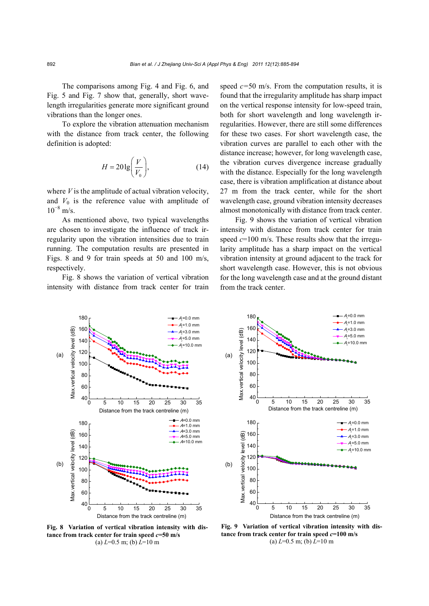The comparisons among Fig. 4 and Fig. 6, and Fig. 5 and Fig. 7 show that, generally, short wavelength irregularities generate more significant ground vibrations than the longer ones.

To explore the vibration attenuation mechanism with the distance from track center, the following definition is adopted:

$$
H = 20 \lg \left( \frac{V}{V_0} \right),\tag{14}
$$

where *V* is the amplitude of actual vibration velocity, and  $V_0$  is the reference value with amplitude of  $10^{-8}$  m/s.

As mentioned above, two typical wavelengths are chosen to investigate the influence of track irregularity upon the vibration intensities due to train running. The computation results are presented in Figs. 8 and 9 for train speeds at 50 and 100 m/s, respectively.

Fig. 8 shows the variation of vertical vibration intensity with distance from track center for train speed *c=*50 m/s. From the computation results, it is found that the irregularity amplitude has sharp impact on the vertical response intensity for low-speed train, both for short wavelength and long wavelength irregularities. However, there are still some differences for these two cases. For short wavelength case, the vibration curves are parallel to each other with the distance increase; however, for long wavelength case, the vibration curves divergence increase gradually with the distance. Especially for the long wavelength case, there is vibration amplification at distance about 27 m from the track center, while for the short wavelength case, ground vibration intensity decreases almost monotonically with distance from track center.

Fig. 9 shows the variation of vertical vibration intensity with distance from track center for train speed  $c=100$  m/s. These results show that the irregularity amplitude has a sharp impact on the vertical vibration intensity at ground adjacent to the track for short wavelength case. However, this is not obvious for the long wavelength case and at the ground distant from the track center.





**Fig. 8 Variation of vertical vibration intensity with distance from track center for train speed** *c=***50 m/s**  (a) *L*=0.5 m; (b) *L*=10 m

**Fig. 9 Variation of vertical vibration intensity with distance from track center for train speed** *c***=100 m/s**  (a) *L*=0.5 m; (b) *L*=10 m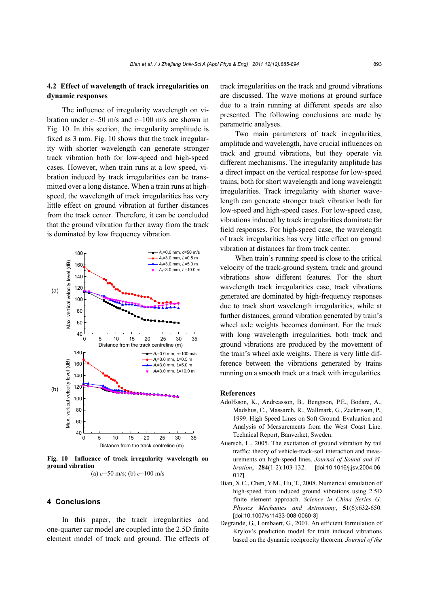## **4.2 Effect of wavelength of track irregularities on dynamic responses**

The influence of irregularity wavelength on vibration under  $c=50$  m/s and  $c=100$  m/s are shown in Fig. 10. In this section, the irregularity amplitude is fixed as 3 mm. Fig. 10 shows that the track irregularity with shorter wavelength can generate stronger track vibration both for low-speed and high-speed cases. However, when train runs at a low speed, vibration induced by track irregularities can be transmitted over a long distance. When a train runs at highspeed, the wavelength of track irregularities has very little effect on ground vibration at further distances from the track center. Therefore, it can be concluded that the ground vibration further away from the track is dominated by low frequency vibration.



**Fig. 10 Influence of track irregularity wavelength on ground vibration**  (a) *c=*50 m/s; (b) *c*=100 m/s

### **4 Conclusions**

In this paper, the track irregularities and one-quarter car model are coupled into the 2.5D finite element model of track and ground. The effects of track irregularities on the track and ground vibrations are discussed. The wave motions at ground surface due to a train running at different speeds are also presented. The following conclusions are made by parametric analyses.

Two main parameters of track irregularities, amplitude and wavelength, have crucial influences on track and ground vibrations, but they operate via different mechanisms. The irregularity amplitude has a direct impact on the vertical response for low-speed trains, both for short wavelength and long wavelength irregularities. Track irregularity with shorter wavelength can generate stronger track vibration both for low-speed and high-speed cases. For low-speed case, vibrations induced by track irregularities dominate far field responses. For high-speed case, the wavelength of track irregularities has very little effect on ground vibration at distances far from track center.

When train's running speed is close to the critical velocity of the track-ground system, track and ground vibrations show different features. For the short wavelength track irregularities case, track vibrations generated are dominated by high-frequency responses due to track short wavelength irregularities, while at further distances, ground vibration generated by train's wheel axle weights becomes dominant. For the track with long wavelength irregularities, both track and ground vibrations are produced by the movement of the train's wheel axle weights. There is very little difference between the vibrations generated by trains running on a smooth track or a track with irregularities.

#### **References**

- Adolfsson, K., Andreasson, B., Bengtson, P.E., Bodare, A., Madshus, C., Massarch, R., Wallmark, G., Zackrisson, P., 1999. High Speed Lines on Soft Ground. Evaluation and Analysis of Measurements from the West Coast Line. Technical Report, Banverket, Sweden.
- Auersch, L., 2005. The excitation of ground vibration by rail traffic: theory of vehicle-track-soil interaction and measurements on high-speed lines. *Journal of Sound and Vibration*, **284**(1-2):103-132. [doi:10.1016/j.jsv.2004.06. 017]
- Bian, X.C., Chen, Y.M., Hu, T., 2008. Numerical simulation of high-speed train induced ground vibrations using 2.5D finite element approach. *Science in China Series G: Physics Mechanics and Astronomy*, **51**(6):632-650. [doi:10.1007/s11433-008-0060-3]
- Degrande, G., Lombaert, G., 2001. An efficient formulation of Krylov's prediction model for train induced vibrations based on the dynamic reciprocity theorem. *Journal of the*